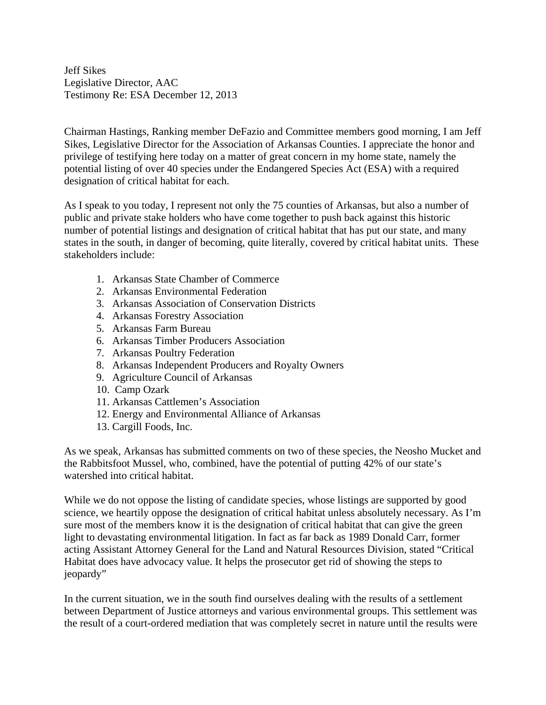Jeff Sikes Legislative Director, AAC Testimony Re: ESA December 12, 2013

Chairman Hastings, Ranking member DeFazio and Committee members good morning, I am Jeff Sikes, Legislative Director for the Association of Arkansas Counties. I appreciate the honor and privilege of testifying here today on a matter of great concern in my home state, namely the potential listing of over 40 species under the Endangered Species Act (ESA) with a required designation of critical habitat for each.

As I speak to you today, I represent not only the 75 counties of Arkansas, but also a number of public and private stake holders who have come together to push back against this historic number of potential listings and designation of critical habitat that has put our state, and many states in the south, in danger of becoming, quite literally, covered by critical habitat units. These stakeholders include:

- 1. Arkansas State Chamber of Commerce
- 2. Arkansas Environmental Federation
- 3. Arkansas Association of Conservation Districts
- 4. Arkansas Forestry Association
- 5. Arkansas Farm Bureau
- 6. Arkansas Timber Producers Association
- 7. Arkansas Poultry Federation
- 8. Arkansas Independent Producers and Royalty Owners
- 9. Agriculture Council of Arkansas
- 10. Camp Ozark
- 11. Arkansas Cattlemen's Association
- 12. Energy and Environmental Alliance of Arkansas
- 13. Cargill Foods, Inc.

As we speak, Arkansas has submitted comments on two of these species, the Neosho Mucket and the Rabbitsfoot Mussel, who, combined, have the potential of putting 42% of our state's watershed into critical habitat.

While we do not oppose the listing of candidate species, whose listings are supported by good science, we heartily oppose the designation of critical habitat unless absolutely necessary. As I'm sure most of the members know it is the designation of critical habitat that can give the green light to devastating environmental litigation. In fact as far back as 1989 Donald Carr, former acting Assistant Attorney General for the Land and Natural Resources Division, stated "Critical Habitat does have advocacy value. It helps the prosecutor get rid of showing the steps to jeopardy"

In the current situation, we in the south find ourselves dealing with the results of a settlement between Department of Justice attorneys and various environmental groups. This settlement was the result of a court-ordered mediation that was completely secret in nature until the results were